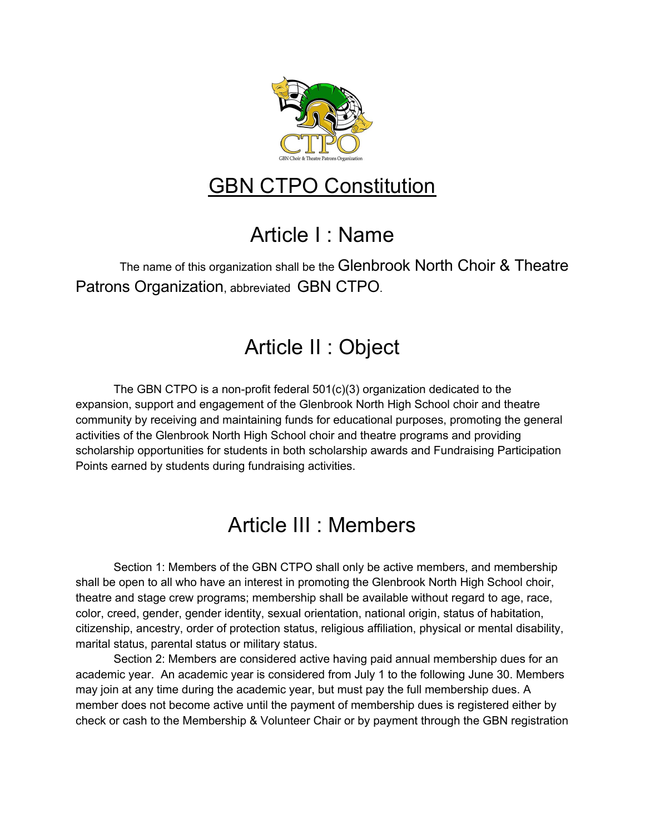

# GBN CTPO Constitution

# Article I : Name

The name of this organization shall be the Glenbrook North Choir & Theatre Patrons Organization, abbreviated GBN CTPO.

# Article II : Object

The GBN CTPO is a non-profit federal  $501(c)(3)$  organization dedicated to the expansion, support and engagement of the Glenbrook North High School choir and theatre community by receiving and maintaining funds for educational purposes, promoting the general activities of the Glenbrook North High School choir and theatre programs and providing scholarship opportunities for students in both scholarship awards and Fundraising Participation Points earned by students during fundraising activities.

#### Article III : Members

Section 1: Members of the GBN CTPO shall only be active members, and membership shall be open to all who have an interest in promoting the Glenbrook North High School choir, theatre and stage crew programs; membership shall be available without regard to age, race, color, creed, gender, gender identity, sexual orientation, national origin, status of habitation, citizenship, ancestry, order of protection status, religious affiliation, physical or mental disability, marital status, parental status or military status.

Section 2: Members are considered active having paid annual membership dues for an academic year. An academic year is considered from July 1 to the following June 30. Members may join at any time during the academic year, but must pay the full membership dues. A member does not become active until the payment of membership dues is registered either by check or cash to the Membership & Volunteer Chair or by payment through the GBN registration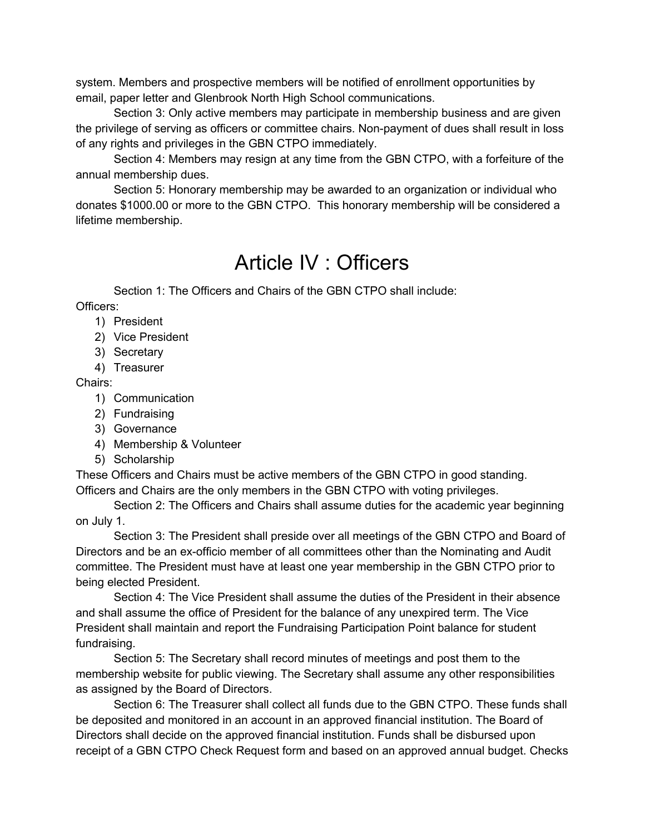system. Members and prospective members will be notified of enrollment opportunities by email, paper letter and Glenbrook North High School communications.

Section 3: Only active members may participate in membership business and are given the privilege of serving as officers or committee chairs. Non-payment of dues shall result in loss of any rights and privileges in the GBN CTPO immediately.

Section 4: Members may resign at any time from the GBN CTPO, with a forfeiture of the annual membership dues.

Section 5: Honorary membership may be awarded to an organization or individual who donates \$1000.00 or more to the GBN CTPO. This honorary membership will be considered a lifetime membership.

#### Article IV : Officers

Section 1: The Officers and Chairs of the GBN CTPO shall include:

Officers:

- 1) President
- 2) Vice President
- 3) Secretary
- 4) Treasurer

#### Chairs:

- 1) Communication
- 2) Fundraising
- 3) Governance
- 4) Membership & Volunteer
- 5) Scholarship

These Officers and Chairs must be active members of the GBN CTPO in good standing. Officers and Chairs are the only members in the GBN CTPO with voting privileges.

Section 2: The Officers and Chairs shall assume duties for the academic year beginning on July 1.

Section 3: The President shall preside over all meetings of the GBN CTPO and Board of Directors and be an ex-officio member of all committees other than the Nominating and Audit committee. The President must have at least one year membership in the GBN CTPO prior to being elected President.

Section 4: The Vice President shall assume the duties of the President in their absence and shall assume the office of President for the balance of any unexpired term. The Vice President shall maintain and report the Fundraising Participation Point balance for student fundraising.

Section 5: The Secretary shall record minutes of meetings and post them to the membership website for public viewing. The Secretary shall assume any other responsibilities as assigned by the Board of Directors.

Section 6: The Treasurer shall collect all funds due to the GBN CTPO. These funds shall be deposited and monitored in an account in an approved financial institution. The Board of Directors shall decide on the approved financial institution. Funds shall be disbursed upon receipt of a GBN CTPO Check Request form and based on an approved annual budget. Checks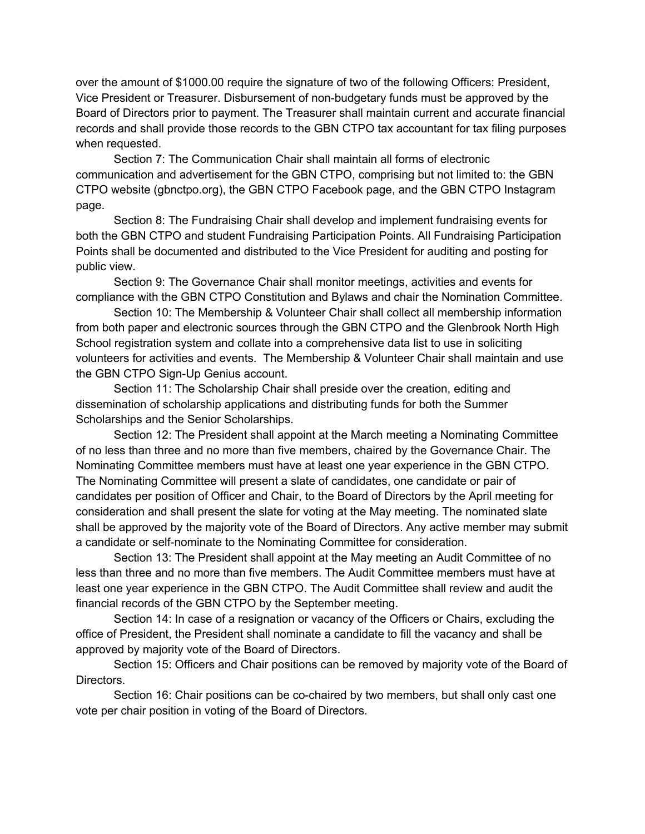over the amount of \$1000.00 require the signature of two of the following Officers: President, Vice President or Treasurer. Disbursement of non-budgetary funds must be approved by the Board of Directors prior to payment. The Treasurer shall maintain current and accurate financial records and shall provide those records to the GBN CTPO tax accountant for tax filing purposes when requested.

Section 7: The Communication Chair shall maintain all forms of electronic communication and advertisement for the GBN CTPO, comprising but not limited to: the GBN CTPO website (gbnctpo.org), the GBN CTPO Facebook page, and the GBN CTPO Instagram page.

Section 8: The Fundraising Chair shall develop and implement fundraising events for both the GBN CTPO and student Fundraising Participation Points. All Fundraising Participation Points shall be documented and distributed to the Vice President for auditing and posting for public view.

Section 9: The Governance Chair shall monitor meetings, activities and events for compliance with the GBN CTPO Constitution and Bylaws and chair the Nomination Committee.

Section 10: The Membership & Volunteer Chair shall collect all membership information from both paper and electronic sources through the GBN CTPO and the Glenbrook North High School registration system and collate into a comprehensive data list to use in soliciting volunteers for activities and events. The Membership & Volunteer Chair shall maintain and use the GBN CTPO Sign-Up Genius account.

Section 11: The Scholarship Chair shall preside over the creation, editing and dissemination of scholarship applications and distributing funds for both the Summer Scholarships and the Senior Scholarships.

Section 12: The President shall appoint at the March meeting a Nominating Committee of no less than three and no more than five members, chaired by the Governance Chair. The Nominating Committee members must have at least one year experience in the GBN CTPO. The Nominating Committee will present a slate of candidates, one candidate or pair of candidates per position of Officer and Chair, to the Board of Directors by the April meeting for consideration and shall present the slate for voting at the May meeting. The nominated slate shall be approved by the majority vote of the Board of Directors. Any active member may submit a candidate or self-nominate to the Nominating Committee for consideration.

Section 13: The President shall appoint at the May meeting an Audit Committee of no less than three and no more than five members. The Audit Committee members must have at least one year experience in the GBN CTPO. The Audit Committee shall review and audit the financial records of the GBN CTPO by the September meeting.

Section 14: In case of a resignation or vacancy of the Officers or Chairs, excluding the office of President, the President shall nominate a candidate to fill the vacancy and shall be approved by majority vote of the Board of Directors.

Section 15: Officers and Chair positions can be removed by majority vote of the Board of Directors.

Section 16: Chair positions can be co-chaired by two members, but shall only cast one vote per chair position in voting of the Board of Directors.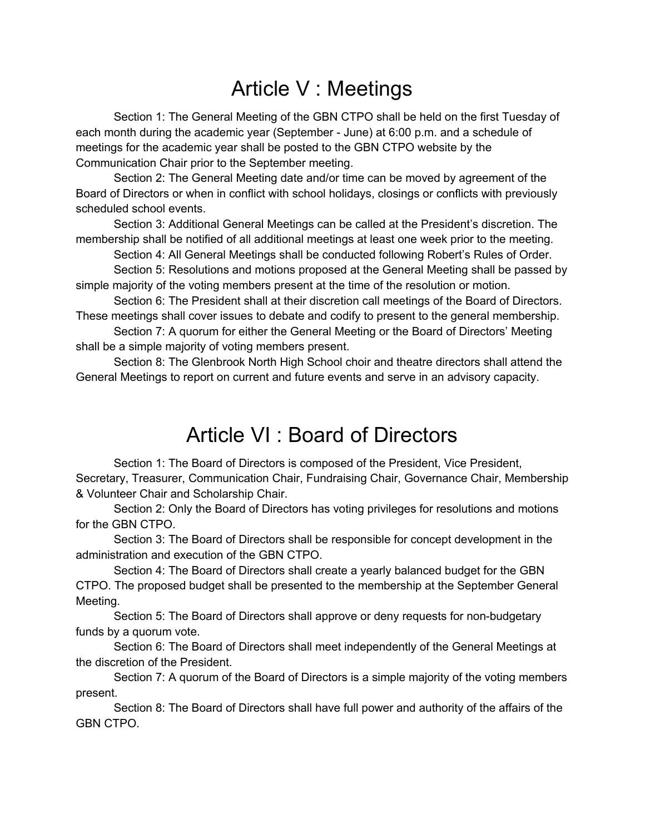# Article V : Meetings

Section 1: The General Meeting of the GBN CTPO shall be held on the first Tuesday of each month during the academic year (September - June) at 6:00 p.m. and a schedule of meetings for the academic year shall be posted to the GBN CTPO website by the Communication Chair prior to the September meeting.

Section 2: The General Meeting date and/or time can be moved by agreement of the Board of Directors or when in conflict with school holidays, closings or conflicts with previously scheduled school events.

Section 3: Additional General Meetings can be called at the President's discretion. The membership shall be notified of all additional meetings at least one week prior to the meeting.

Section 4: All General Meetings shall be conducted following Robert's Rules of Order.

Section 5: Resolutions and motions proposed at the General Meeting shall be passed by simple majority of the voting members present at the time of the resolution or motion.

Section 6: The President shall at their discretion call meetings of the Board of Directors. These meetings shall cover issues to debate and codify to present to the general membership.

Section 7: A quorum for either the General Meeting or the Board of Directors' Meeting shall be a simple majority of voting members present.

Section 8: The Glenbrook North High School choir and theatre directors shall attend the General Meetings to report on current and future events and serve in an advisory capacity.

#### Article VI : Board of Directors

Section 1: The Board of Directors is composed of the President, Vice President, Secretary, Treasurer, Communication Chair, Fundraising Chair, Governance Chair, Membership & Volunteer Chair and Scholarship Chair.

Section 2: Only the Board of Directors has voting privileges for resolutions and motions for the GBN CTPO.

Section 3: The Board of Directors shall be responsible for concept development in the administration and execution of the GBN CTPO.

Section 4: The Board of Directors shall create a yearly balanced budget for the GBN CTPO. The proposed budget shall be presented to the membership at the September General Meeting.

Section 5: The Board of Directors shall approve or deny requests for non-budgetary funds by a quorum vote.

Section 6: The Board of Directors shall meet independently of the General Meetings at the discretion of the President.

Section 7: A quorum of the Board of Directors is a simple majority of the voting members present.

Section 8: The Board of Directors shall have full power and authority of the affairs of the GBN CTPO.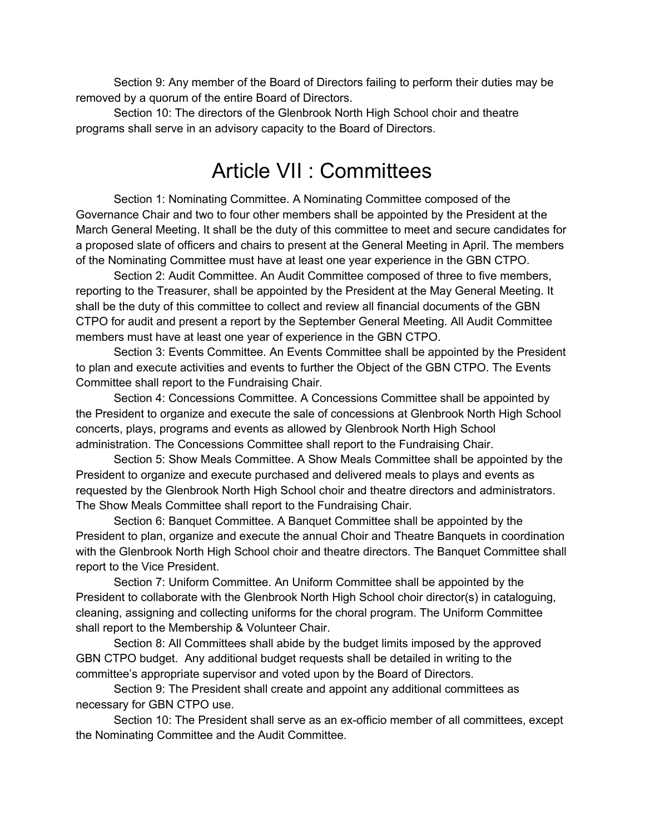Section 9: Any member of the Board of Directors failing to perform their duties may be removed by a quorum of the entire Board of Directors.

Section 10: The directors of the Glenbrook North High School choir and theatre programs shall serve in an advisory capacity to the Board of Directors.

#### Article VII : Committees

Section 1: Nominating Committee. A Nominating Committee composed of the Governance Chair and two to four other members shall be appointed by the President at the March General Meeting. It shall be the duty of this committee to meet and secure candidates for a proposed slate of officers and chairs to present at the General Meeting in April. The members of the Nominating Committee must have at least one year experience in the GBN CTPO.

Section 2: Audit Committee. An Audit Committee composed of three to five members, reporting to the Treasurer, shall be appointed by the President at the May General Meeting. It shall be the duty of this committee to collect and review all financial documents of the GBN CTPO for audit and present a report by the September General Meeting. All Audit Committee members must have at least one year of experience in the GBN CTPO.

Section 3: Events Committee. An Events Committee shall be appointed by the President to plan and execute activities and events to further the Object of the GBN CTPO. The Events Committee shall report to the Fundraising Chair.

Section 4: Concessions Committee. A Concessions Committee shall be appointed by the President to organize and execute the sale of concessions at Glenbrook North High School concerts, plays, programs and events as allowed by Glenbrook North High School administration. The Concessions Committee shall report to the Fundraising Chair.

Section 5: Show Meals Committee. A Show Meals Committee shall be appointed by the President to organize and execute purchased and delivered meals to plays and events as requested by the Glenbrook North High School choir and theatre directors and administrators. The Show Meals Committee shall report to the Fundraising Chair.

Section 6: Banquet Committee. A Banquet Committee shall be appointed by the President to plan, organize and execute the annual Choir and Theatre Banquets in coordination with the Glenbrook North High School choir and theatre directors. The Banquet Committee shall report to the Vice President.

Section 7: Uniform Committee. An Uniform Committee shall be appointed by the President to collaborate with the Glenbrook North High School choir director(s) in cataloguing, cleaning, assigning and collecting uniforms for the choral program. The Uniform Committee shall report to the Membership & Volunteer Chair.

Section 8: All Committees shall abide by the budget limits imposed by the approved GBN CTPO budget. Any additional budget requests shall be detailed in writing to the committee's appropriate supervisor and voted upon by the Board of Directors.

Section 9: The President shall create and appoint any additional committees as necessary for GBN CTPO use.

Section 10: The President shall serve as an ex-officio member of all committees, except the Nominating Committee and the Audit Committee.